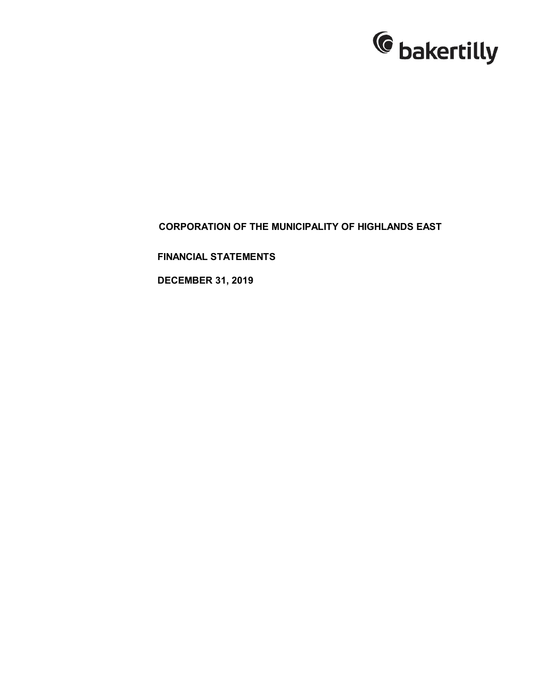

**FINANCIAL STATEMENTS**

**DECEMBER 31, 2019**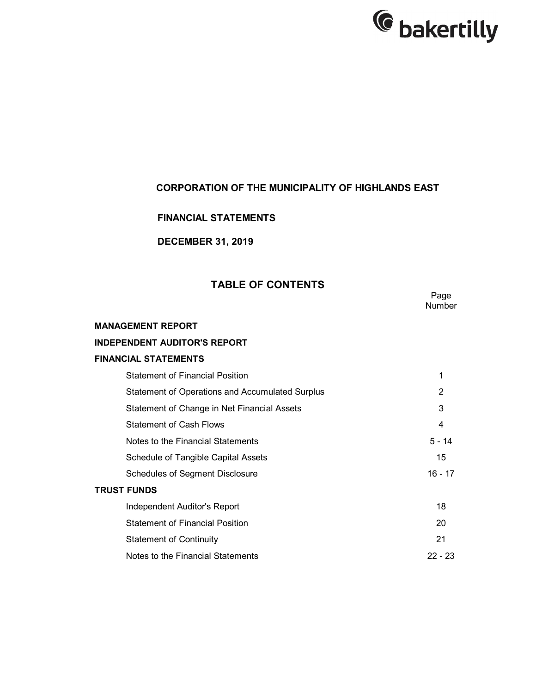

## **FINANCIAL STATEMENTS**

**DECEMBER 31, 2019**

## **TABLE OF CONTENTS**

Page Number

#### **MANAGEMENT REPORT**

#### **INDEPENDENT AUDITOR'S REPORT**

#### **FINANCIAL STATEMENTS**

| <b>Statement of Financial Position</b>          |           |
|-------------------------------------------------|-----------|
| Statement of Operations and Accumulated Surplus | 2         |
| Statement of Change in Net Financial Assets     | 3         |
| <b>Statement of Cash Flows</b>                  | 4         |
| Notes to the Financial Statements               | 5 - 14    |
| Schedule of Tangible Capital Assets             | 15        |
| <b>Schedules of Segment Disclosure</b>          | $16 - 17$ |
| <b>TRUST FUNDS</b>                              |           |
| Independent Auditor's Report                    | 18        |
| <b>Statement of Financial Position</b>          | 20        |
| <b>Statement of Continuity</b>                  | 21        |
| Notes to the Financial Statements               | $22 - 23$ |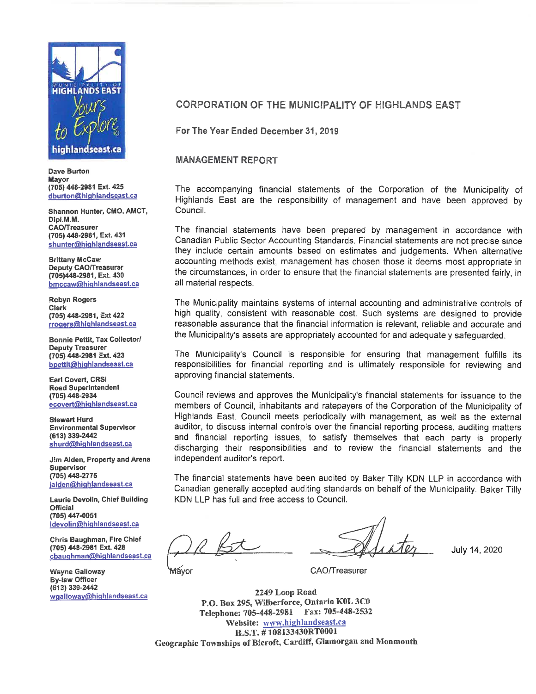

**Dave Burton** Mavor (705) 448-2981 Ext. 425 dburton@highlandseast.ca

Shannon Hunter, CMO, AMCT, Dipl.M.M. **CAO/Treasurer** (705) 448-2981, Ext. 431 shunter@highlandseast.ca

**Brittany McCaw** Deputy CAO/Treasurer (705)448-2981, Ext. 430 bmccaw@highlandseast.ca

**Robyn Rogers** Clerk (705) 448-2981, Ext 422 rrogers@highlandseast.ca

**Bonnie Pettit, Tax Collector/ Deputy Treasurer** (705) 448-2981 Ext. 423 bpettit@highlandseast.ca

**Earl Covert, CRSI** Road Superintendent (705) 448-2934 ecovert@highlandseast.ca

**Stewart Hurd Environmental Supervisor** (613) 339-2442 shurd@highlandseast.ca

Jim Alden, Property and Arena Supervisor (705) 448-2775 jalden@highlandseast.ca

Laurie Devolin, Chief Building Official (705) 447-0051 Idevolin@highlandseast.ca

Chris Baughman, Fire Chief (705) 448-2981 Ext. 428 cbaughman@highlandseast.ca

**Wayne Galloway By-law Officer** (613) 339-2442 wgalloway@highiandseast.ca

## CORPORATION OF THE MUNICIPALITY OF HIGHLANDS EAST

For The Year Ended December 31, 2019

#### **MANAGEMENT REPORT**

The accompanying financial statements of the Corporation of the Municipality of Highlands East are the responsibility of management and have been approved by Council.

The financial statements have been prepared by management in accordance with Canadian Public Sector Accounting Standards. Financial statements are not precise since they include certain amounts based on estimates and judgements. When alternative accounting methods exist, management has chosen those it deems most appropriate in the circumstances, in order to ensure that the financial statements are presented fairly, in all material respects.

The Municipality maintains systems of internal accounting and administrative controls of high quality, consistent with reasonable cost. Such systems are designed to provide reasonable assurance that the financial information is relevant, reliable and accurate and the Municipality's assets are appropriately accounted for and adequately safeguarded.

The Municipality's Council is responsible for ensuring that management fulfills its responsibilities for financial reporting and is ultimately responsible for reviewing and approving financial statements.

Council reviews and approves the Municipality's financial statements for issuance to the members of Council, inhabitants and ratepayers of the Corporation of the Municipality of Highlands East. Council meets periodically with management, as well as the external auditor, to discuss internal controls over the financial reporting process, auditing matters and financial reporting issues, to satisfy themselves that each party is properly discharging their responsibilities and to review the financial statements and the independent auditor's report.

The financial statements have been audited by Baker Tilly KDN LLP in accordance with Canadian generally accepted auditing standards on behalf of the Municipality. Baker Tilly KDN LLP has full and free access to Council.

July 14, 2020

Mávor

**CAO/Treasurer** 

2249 Loop Road P.O. Box 295, Wilberforce, Ontario K0L 3C0 Telephone: 705-448-2981 Fax: 705-448-2532 Website: www.highlandseast.ca H.S.T. #108133430RT0001 Geographic Townships of Bicroft, Cardiff, Glamorgan and Monmouth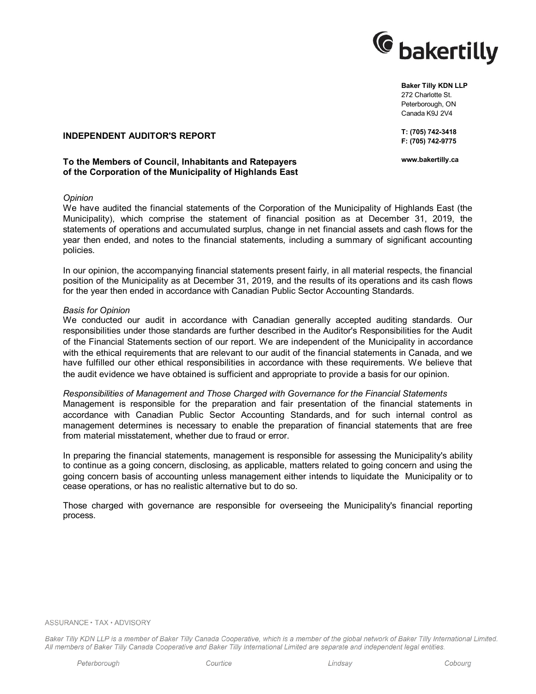

## **Baker Tilly KDN LLP**

272 Charlotte St. Peterborough, ON Canada K9J 2V4

**T: (705) 742-3418 F: (705) 742-9775**

**www.bakertilly.ca**

#### **INDEPENDENT AUDITOR'S REPORT**

#### **To the Members of Council, Inhabitants and Ratepayers of the Corporation of the Municipality of Highlands East**

#### *Opinion*

We have audited the financial statements of the Corporation of the Municipality of Highlands East (the Municipality), which comprise the statement of financial position as at December 31, 2019, the statements of operations and accumulated surplus, change in net financial assets and cash flows for the year then ended, and notes to the financial statements, including a summary of significant accounting policies.

In our opinion, the accompanying financial statements present fairly, in all material respects, the financial position of the Municipality as at December 31, 2019, and the results of its operations and its cash flows for the year then ended in accordance with Canadian Public Sector Accounting Standards.

#### *Basis for Opinion*

We conducted our audit in accordance with Canadian generally accepted auditing standards. Our responsibilities under those standards are further described in the Auditor's Responsibilities for the Audit of the Financial Statements section of our report. We are independent of the Municipality in accordance with the ethical requirements that are relevant to our audit of the financial statements in Canada, and we have fulfilled our other ethical responsibilities in accordance with these requirements. We believe that the audit evidence we have obtained is sufficient and appropriate to provide a basis for our opinion.

#### *Responsibilities of Management and Those Charged with Governance for the Financial Statements*

Management is responsible for the preparation and fair presentation of the financial statements in accordance with Canadian Public Sector Accounting Standards, and for such internal control as management determines is necessary to enable the preparation of financial statements that are free from material misstatement, whether due to fraud or error.

In preparing the financial statements, management is responsible for assessing the Municipality's ability to continue as a going concern, disclosing, as applicable, matters related to going concern and using the going concern basis of accounting unless management either intends to liquidate the Municipality or to cease operations, or has no realistic alternative but to do so.

Those charged with governance are responsible for overseeing the Municipality's financial reporting process.

#### ASSURANCE · TAX · ADVISORY

Baker Tilly KDN LLP is a member of Baker Tilly Canada Cooperative, which is a member of the global network of Baker Tilly International Limited. All members of Baker Tilly Canada Cooperative and Baker Tilly International Limited are separate and independent legal entities.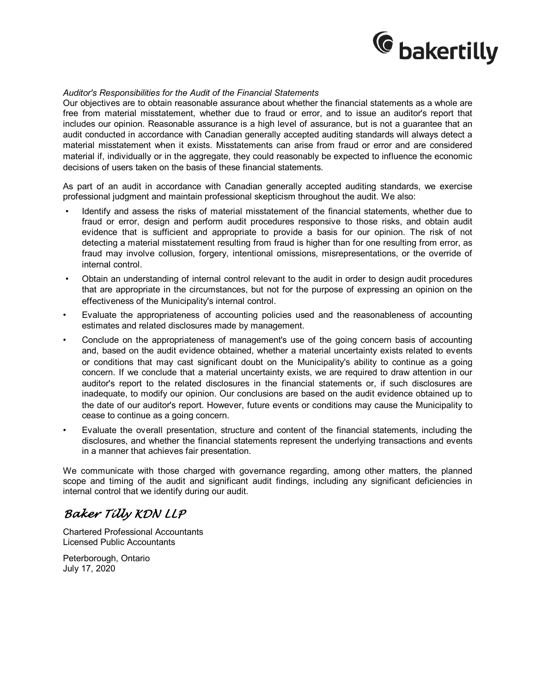

#### *Auditor's Responsibilities for the Audit of the Financial Statements*

Our objectives are to obtain reasonable assurance about whether the financial statements as a whole are free from material misstatement, whether due to fraud or error, and to issue an auditor's report that includes our opinion. Reasonable assurance is a high level of assurance, but is not a guarantee that an audit conducted in accordance with Canadian generally accepted auditing standards will always detect a material misstatement when it exists. Misstatements can arise from fraud or error and are considered material if, individually or in the aggregate, they could reasonably be expected to influence the economic decisions of users taken on the basis of these financial statements.

As part of an audit in accordance with Canadian generally accepted auditing standards, we exercise professional judgment and maintain professional skepticism throughout the audit. We also:

- Identify and assess the risks of material misstatement of the financial statements, whether due to fraud or error, design and perform audit procedures responsive to those risks, and obtain audit evidence that is sufficient and appropriate to provide a basis for our opinion. The risk of not detecting a material misstatement resulting from fraud is higher than for one resulting from error, as fraud may involve collusion, forgery, intentional omissions, misrepresentations, or the override of internal control.
- Obtain an understanding of internal control relevant to the audit in order to design audit procedures that are appropriate in the circumstances, but not for the purpose of expressing an opinion on the effectiveness of the Municipality's internal control.
- Evaluate the appropriateness of accounting policies used and the reasonableness of accounting estimates and related disclosures made by management.
- Conclude on the appropriateness of management's use of the going concern basis of accounting and, based on the audit evidence obtained, whether a material uncertainty exists related to events or conditions that may cast significant doubt on the Municipality's ability to continue as a going concern. If we conclude that a material uncertainty exists, we are required to draw attention in our auditor's report to the related disclosures in the financial statements or, if such disclosures are inadequate, to modify our opinion. Our conclusions are based on the audit evidence obtained up to the date of our auditor's report. However, future events or conditions may cause the Municipality to cease to continue as a going concern.
- Evaluate the overall presentation, structure and content of the financial statements, including the disclosures, and whether the financial statements represent the underlying transactions and events in a manner that achieves fair presentation.

We communicate with those charged with governance regarding, among other matters, the planned scope and timing of the audit and significant audit findings, including any significant deficiencies in internal control that we identify during our audit.

## *Baker Tilly KDN LLP*

Chartered Professional Accountants Licensed Public Accountants

Peterborough, Ontario July 17, 2020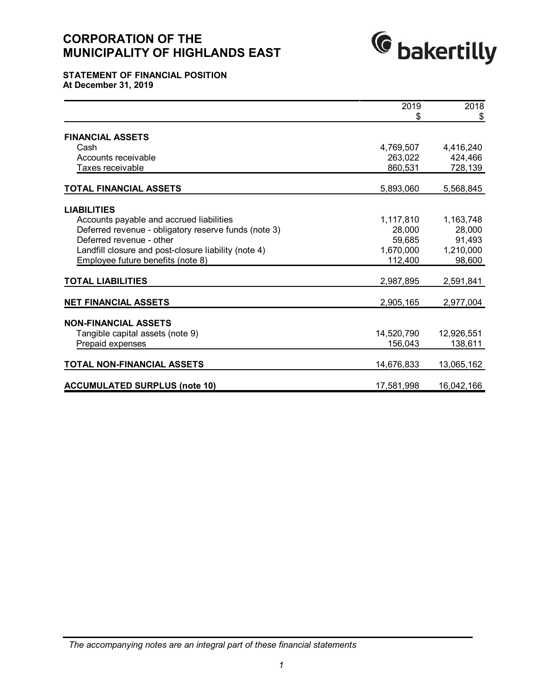

#### **STATEMENT OF FINANCIAL POSITION At December 31, 2019**

|                                                      | 2019<br>\$ | 2018<br>\$ |
|------------------------------------------------------|------------|------------|
|                                                      |            |            |
| <b>FINANCIAL ASSETS</b>                              |            |            |
| Cash                                                 | 4,769,507  | 4,416,240  |
| Accounts receivable                                  | 263,022    | 424,466    |
| Taxes receivable                                     | 860,531    | 728,139    |
| <b>TOTAL FINANCIAL ASSETS</b>                        | 5,893,060  | 5,568,845  |
| <b>LIABILITIES</b>                                   |            |            |
| Accounts payable and accrued liabilities             | 1,117,810  | 1,163,748  |
| Deferred revenue - obligatory reserve funds (note 3) | 28,000     | 28,000     |
| Deferred revenue - other                             | 59,685     | 91,493     |
| Landfill closure and post-closure liability (note 4) | 1,670,000  | 1,210,000  |
| Employee future benefits (note 8)                    | 112,400    | 98,600     |
| <b>TOTAL LIABILITIES</b>                             | 2,987,895  | 2,591,841  |
| <b>NET FINANCIAL ASSETS</b>                          | 2,905,165  | 2,977,004  |
|                                                      |            |            |
| <b>NON-FINANCIAL ASSETS</b>                          |            |            |
| Tangible capital assets (note 9)                     | 14,520,790 | 12,926,551 |
| Prepaid expenses                                     | 156,043    | 138,611    |
| TOTAL NON-FINANCIAL ASSETS                           | 14,676,833 | 13,065,162 |
| <b>ACCUMULATED SURPLUS (note 10)</b>                 | 17,581,998 | 16,042,166 |

*The accompanying notes are an integral part of these financial statements*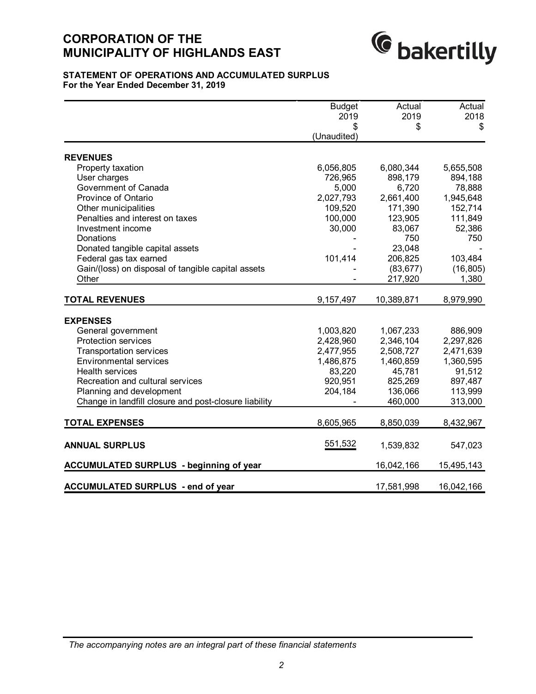

### **STATEMENT OF OPERATIONS AND ACCUMULATED SURPLUS For the Year Ended December 31, 2019**

|                                                       | <b>Budget</b>     | Actual     | Actual     |
|-------------------------------------------------------|-------------------|------------|------------|
|                                                       | 2019              | 2019       | 2018       |
|                                                       | \$<br>(Unaudited) | \$         | \$         |
|                                                       |                   |            |            |
| <b>REVENUES</b>                                       |                   |            |            |
| Property taxation                                     | 6,056,805         | 6,080,344  | 5,655,508  |
| User charges                                          | 726,965           | 898,179    | 894,188    |
| Government of Canada                                  | 5,000             | 6,720      | 78,888     |
| Province of Ontario                                   | 2,027,793         | 2,661,400  | 1,945,648  |
| Other municipalities                                  | 109,520           | 171,390    | 152,714    |
| Penalties and interest on taxes                       | 100,000           | 123,905    | 111,849    |
| Investment income                                     | 30,000            | 83,067     | 52,386     |
| <b>Donations</b>                                      |                   | 750        | 750        |
| Donated tangible capital assets                       |                   | 23,048     |            |
| Federal gas tax earned                                | 101,414           | 206,825    | 103,484    |
| Gain/(loss) on disposal of tangible capital assets    |                   | (83, 677)  | (16, 805)  |
| Other                                                 |                   | 217,920    | 1,380      |
|                                                       |                   |            |            |
| <b>TOTAL REVENUES</b>                                 | 9,157,497         | 10,389,871 | 8,979,990  |
| <b>EXPENSES</b>                                       |                   |            |            |
| General government                                    | 1,003,820         | 1,067,233  | 886,909    |
| <b>Protection services</b>                            | 2,428,960         | 2,346,104  | 2,297,826  |
| <b>Transportation services</b>                        | 2,477,955         | 2,508,727  | 2,471,639  |
| Environmental services                                | 1,486,875         | 1,460,859  | 1,360,595  |
| <b>Health services</b>                                | 83,220            | 45,781     | 91,512     |
| Recreation and cultural services                      | 920,951           | 825,269    | 897,487    |
| Planning and development                              | 204,184           | 136,066    | 113,999    |
| Change in landfill closure and post-closure liability |                   | 460,000    | 313,000    |
|                                                       |                   |            |            |
| <b>TOTAL EXPENSES</b>                                 | 8,605,965         | 8,850,039  | 8,432,967  |
| <b>ANNUAL SURPLUS</b>                                 | 551,532           | 1,539,832  | 547,023    |
|                                                       |                   |            |            |
| <b>ACCUMULATED SURPLUS</b> - beginning of year        |                   | 16,042,166 | 15,495,143 |
| <b>ACCUMULATED SURPLUS - end of year</b>              |                   | 17,581,998 | 16,042,166 |

 *The accompanying notes are an integral part of these financial statements*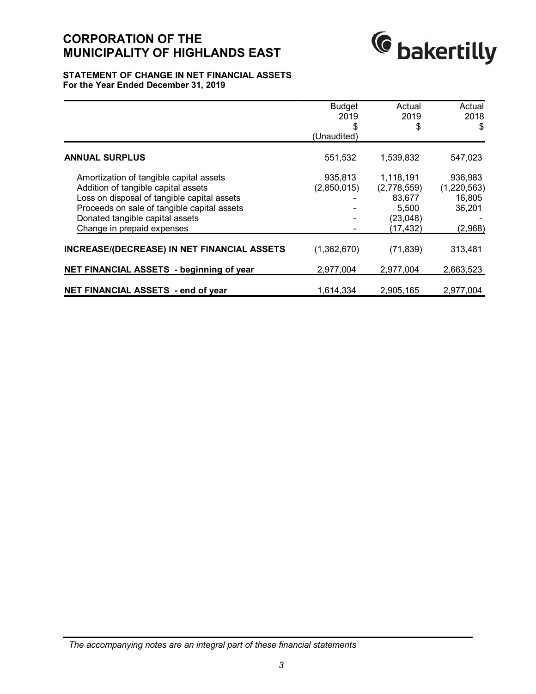

### **STATEMENT OF CHANGE IN NET FINANCIAL ASSETS For the Year Ended December 31, 2019**

|                                                                                                                                                                                                                 | <b>Budget</b><br>2019  | Actual<br>2019                                          | Actual<br>2018                               |
|-----------------------------------------------------------------------------------------------------------------------------------------------------------------------------------------------------------------|------------------------|---------------------------------------------------------|----------------------------------------------|
|                                                                                                                                                                                                                 | S<br>(Unaudited)       | \$                                                      | \$                                           |
| <b>ANNUAL SURPLUS</b>                                                                                                                                                                                           | 551,532                | 1,539,832                                               | 547,023                                      |
| Amortization of tangible capital assets<br>Addition of tangible capital assets<br>Loss on disposal of tangible capital assets<br>Proceeds on sale of tangible capital assets<br>Donated tangible capital assets | 935,813<br>(2,850,015) | 1,118,191<br>(2,778,559)<br>83,677<br>5,500<br>(23,048) | 936,983<br>(1, 220, 563)<br>16,805<br>36,201 |
| Change in prepaid expenses                                                                                                                                                                                      |                        | (17, 432)                                               | (2,968)                                      |
| <b>INCREASE/(DECREASE) IN NET FINANCIAL ASSETS</b>                                                                                                                                                              | (1,362,670)            | (71, 839)                                               | 313,481                                      |
| NET FINANCIAL ASSETS - beginning of year                                                                                                                                                                        | 2,977,004              | 2,977,004                                               | 2,663,523                                    |
| NET FINANCIAL ASSETS - end of year                                                                                                                                                                              | 1,614,334              | 2,905,165                                               | 2,977,004                                    |

*The accompanying notes are an integral part of these financial statements*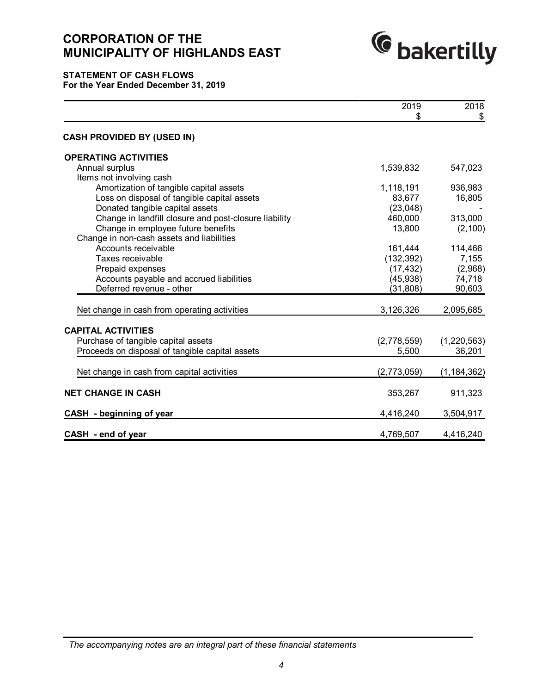

**STATEMENT OF CASH FLOWS For the Year Ended December 31, 2019**

|                                                       | 2019        | 2018<br>S.    |
|-------------------------------------------------------|-------------|---------------|
| <b>CASH PROVIDED BY (USED IN)</b>                     |             |               |
| <b>OPERATING ACTIVITIES</b>                           |             |               |
| Annual surplus                                        | 1,539,832   | 547,023       |
| Items not involving cash                              |             |               |
| Amortization of tangible capital assets               | 1,118,191   | 936,983       |
| Loss on disposal of tangible capital assets           | 83,677      | 16,805        |
| Donated tangible capital assets                       | (23,048)    |               |
| Change in landfill closure and post-closure liability | 460,000     | 313,000       |
| Change in employee future benefits                    | 13,800      | (2, 100)      |
| Change in non-cash assets and liabilities             |             |               |
| Accounts receivable                                   | 161,444     | 114,466       |
| Taxes receivable                                      | (132, 392)  | 7,155         |
| Prepaid expenses                                      | (17, 432)   | (2,968)       |
| Accounts payable and accrued liabilities              | (45, 938)   | 74,718        |
| Deferred revenue - other                              | (31, 808)   | 90,603        |
| Net change in cash from operating activities          | 3,126,326   | 2,095,685     |
| <b>CAPITAL ACTIVITIES</b>                             |             |               |
| Purchase of tangible capital assets                   | (2,778,559) | (1,220,563)   |
| Proceeds on disposal of tangible capital assets       | 5,500       | 36,201        |
| Net change in cash from capital activities            | (2,773,059) | (1, 184, 362) |
| <b>NET CHANGE IN CASH</b>                             | 353,267     | 911,323       |
| CASH - beginning of year                              | 4,416,240   | 3,504,917     |
| CASH - end of year                                    | 4,769,507   | 4,416,240     |

 *The accompanying notes are an integral part of these financial statements*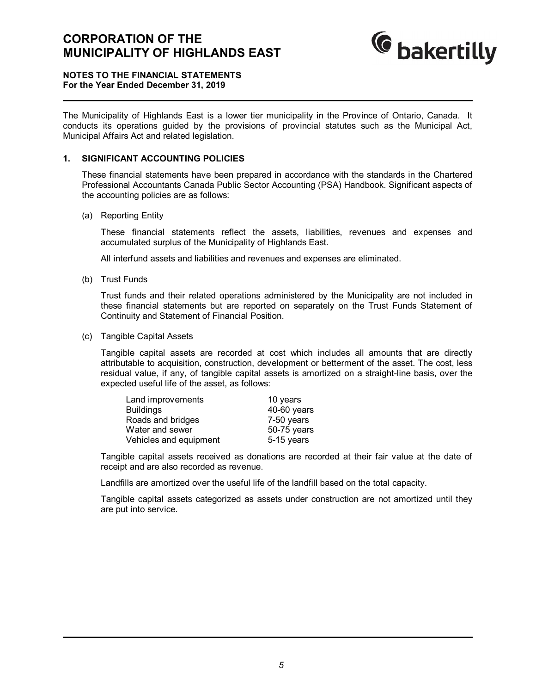

### **NOTES TO THE FINANCIAL STATEMENTS For the Year Ended December 31, 2019**

The Municipality of Highlands East is a lower tier municipality in the Province of Ontario, Canada. It conducts its operations guided by the provisions of provincial statutes such as the Municipal Act, Municipal Affairs Act and related legislation.

### **1. SIGNIFICANT ACCOUNTING POLICIES**

These financial statements have been prepared in accordance with the standards in the Chartered Professional Accountants Canada Public Sector Accounting (PSA) Handbook. Significant aspects of the accounting policies are as follows:

(a) Reporting Entity

These financial statements reflect the assets, liabilities, revenues and expenses and accumulated surplus of the Municipality of Highlands East.

All interfund assets and liabilities and revenues and expenses are eliminated.

(b) Trust Funds

Trust funds and their related operations administered by the Municipality are not included in these financial statements but are reported on separately on the Trust Funds Statement of Continuity and Statement of Financial Position.

(c) Tangible Capital Assets

Tangible capital assets are recorded at cost which includes all amounts that are directly attributable to acquisition, construction, development or betterment of the asset. The cost, less residual value, if any, of tangible capital assets is amortized on a straight-line basis, over the expected useful life of the asset, as follows:

| Land improvements      | 10 years    |
|------------------------|-------------|
| <b>Buildings</b>       | 40-60 years |
| Roads and bridges      | 7-50 years  |
| Water and sewer        | 50-75 years |
| Vehicles and equipment | 5-15 years  |

Tangible capital assets received as donations are recorded at their fair value at the date of receipt and are also recorded as revenue.

Landfills are amortized over the useful life of the landfill based on the total capacity.

Tangible capital assets categorized as assets under construction are not amortized until they are put into service.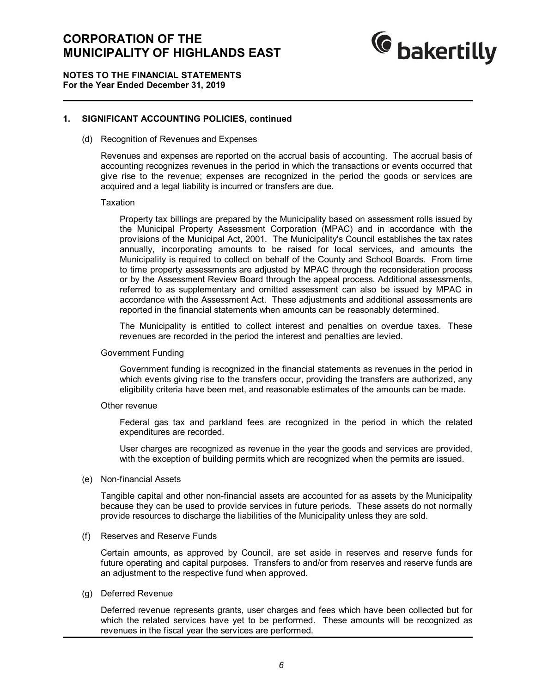

**NOTES TO THE FINANCIAL STATEMENTS For the Year Ended December 31, 2019**

### **1. SIGNIFICANT ACCOUNTING POLICIES, continued**

(d) Recognition of Revenues and Expenses

Revenues and expenses are reported on the accrual basis of accounting. The accrual basis of accounting recognizes revenues in the period in which the transactions or events occurred that give rise to the revenue; expenses are recognized in the period the goods or services are acquired and a legal liability is incurred or transfers are due.

#### **Taxation**

Property tax billings are prepared by the Municipality based on assessment rolls issued by the Municipal Property Assessment Corporation (MPAC) and in accordance with the provisions of the Municipal Act, 2001. The Municipality's Council establishes the tax rates annually, incorporating amounts to be raised for local services, and amounts the Municipality is required to collect on behalf of the County and School Boards. From time to time property assessments are adjusted by MPAC through the reconsideration process or by the Assessment Review Board through the appeal process. Additional assessments, referred to as supplementary and omitted assessment can also be issued by MPAC in accordance with the Assessment Act. These adjustments and additional assessments are reported in the financial statements when amounts can be reasonably determined.

The Municipality is entitled to collect interest and penalties on overdue taxes. These revenues are recorded in the period the interest and penalties are levied.

#### Government Funding

Government funding is recognized in the financial statements as revenues in the period in which events giving rise to the transfers occur, providing the transfers are authorized, any eligibility criteria have been met, and reasonable estimates of the amounts can be made.

#### Other revenue

Federal gas tax and parkland fees are recognized in the period in which the related expenditures are recorded.

User charges are recognized as revenue in the year the goods and services are provided, with the exception of building permits which are recognized when the permits are issued.

(e) Non-financial Assets

Tangible capital and other non-financial assets are accounted for as assets by the Municipality because they can be used to provide services in future periods. These assets do not normally provide resources to discharge the liabilities of the Municipality unless they are sold.

#### (f) Reserves and Reserve Funds

Certain amounts, as approved by Council, are set aside in reserves and reserve funds for future operating and capital purposes. Transfers to and/or from reserves and reserve funds are an adjustment to the respective fund when approved.

(g) Deferred Revenue

Deferred revenue represents grants, user charges and fees which have been collected but for which the related services have yet to be performed. These amounts will be recognized as revenues in the fiscal year the services are performed.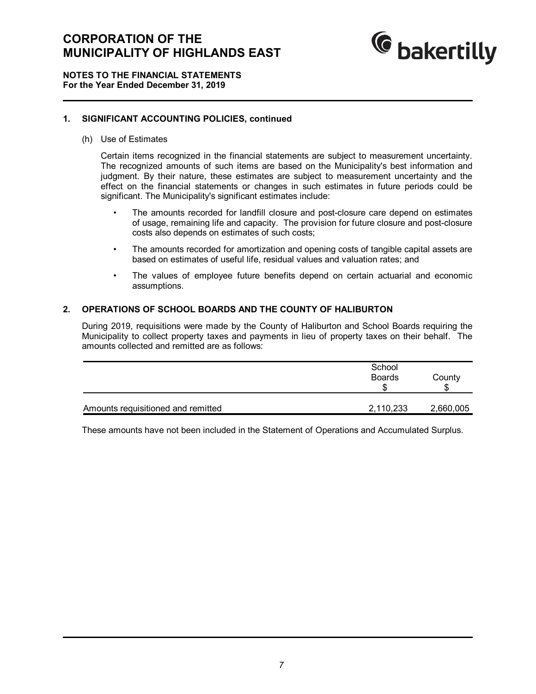

**NOTES TO THE FINANCIAL STATEMENTS For the Year Ended December 31, 2019**

### **1. SIGNIFICANT ACCOUNTING POLICIES, continued**

(h) Use of Estimates

Certain items recognized in the financial statements are subject to measurement uncertainty. The recognized amounts of such items are based on the Municipality's best information and judgment. By their nature, these estimates are subject to measurement uncertainty and the effect on the financial statements or changes in such estimates in future periods could be significant. The Municipality's significant estimates include:

- The amounts recorded for landfill closure and post-closure care depend on estimates of usage, remaining life and capacity. The provision for future closure and post-closure costs also depends on estimates of such costs;
- The amounts recorded for amortization and opening costs of tangible capital assets are based on estimates of useful life, residual values and valuation rates; and
- The values of employee future benefits depend on certain actuarial and economic assumptions.

### **2. OPERATIONS OF SCHOOL BOARDS AND THE COUNTY OF HALIBURTON**

During 2019, requisitions were made by the County of Haliburton and School Boards requiring the Municipality to collect property taxes and payments in lieu of property taxes on their behalf. The amounts collected and remitted are as follows:

|                                    | School<br><b>Boards</b> | County    |
|------------------------------------|-------------------------|-----------|
| Amounts requisitioned and remitted | 2,110,233               | 2,660,005 |

These amounts have not been included in the Statement of Operations and Accumulated Surplus.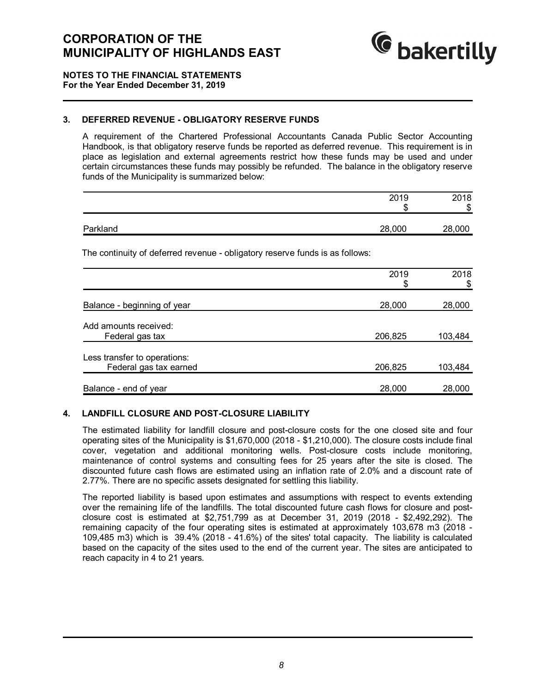

**NOTES TO THE FINANCIAL STATEMENTS For the Year Ended December 31, 2019**

#### **3. DEFERRED REVENUE - OBLIGATORY RESERVE FUNDS**

A requirement of the Chartered Professional Accountants Canada Public Sector Accounting Handbook, is that obligatory reserve funds be reported as deferred revenue. This requirement is in place as legislation and external agreements restrict how these funds may be used and under certain circumstances these funds may possibly be refunded. The balance in the obligatory reserve funds of the Municipality is summarized below:

|          | 2019   | 2018   |
|----------|--------|--------|
|          | u      | ሖ<br>Φ |
|          |        |        |
| Parkland | 28,000 | 28,000 |

The continuity of deferred revenue - obligatory reserve funds is as follows:

|                              | 2019    | 2018    |
|------------------------------|---------|---------|
|                              | S       | \$      |
| Balance - beginning of year  | 28,000  | 28,000  |
| Add amounts received:        |         |         |
| Federal gas tax              | 206,825 | 103,484 |
| Less transfer to operations: |         |         |
| Federal gas tax earned       | 206,825 | 103,484 |
| Balance - end of year        | 28,000  | 28,000  |

#### **4. LANDFILL CLOSURE AND POST-CLOSURE LIABILITY**

The estimated liability for landfill closure and post-closure costs for the one closed site and four operating sites of the Municipality is \$1,670,000 (2018 - \$1,210,000). The closure costs include final cover, vegetation and additional monitoring wells. Post-closure costs include monitoring, maintenance of control systems and consulting fees for 25 years after the site is closed. The discounted future cash flows are estimated using an inflation rate of 2.0% and a discount rate of 2.77%. There are no specific assets designated for settling this liability.

The reported liability is based upon estimates and assumptions with respect to events extending over the remaining life of the landfills. The total discounted future cash flows for closure and postclosure cost is estimated at \$2,751,799 as at December 31, 2019 (2018 - \$2,492,292). The remaining capacity of the four operating sites is estimated at approximately 103,678 m3 (2018 - 109,485 m3) which is 39.4% (2018 - 41.6%) of the sites' total capacity. The liability is calculated based on the capacity of the sites used to the end of the current year. The sites are anticipated to reach capacity in 4 to 21 years.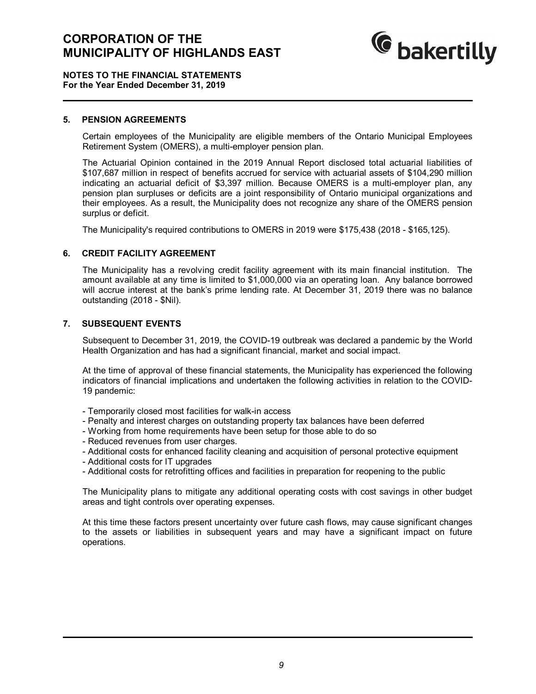

**NOTES TO THE FINANCIAL STATEMENTS For the Year Ended December 31, 2019**

#### **5. PENSION AGREEMENTS**

Certain employees of the Municipality are eligible members of the Ontario Municipal Employees Retirement System (OMERS), a multi-employer pension plan.

The Actuarial Opinion contained in the 2019 Annual Report disclosed total actuarial liabilities of \$107,687 million in respect of benefits accrued for service with actuarial assets of \$104,290 million indicating an actuarial deficit of \$3,397 million. Because OMERS is a multi-employer plan, any pension plan surpluses or deficits are a joint responsibility of Ontario municipal organizations and their employees. As a result, the Municipality does not recognize any share of the OMERS pension surplus or deficit.

The Municipality's required contributions to OMERS in 2019 were \$175,438 (2018 - \$165,125).

### **6. CREDIT FACILITY AGREEMENT**

The Municipality has a revolving credit facility agreement with its main financial institution. The amount available at any time is limited to \$1,000,000 via an operating loan. Any balance borrowed will accrue interest at the bank's prime lending rate. At December 31, 2019 there was no balance outstanding (2018 - \$Nil).

### **7. SUBSEQUENT EVENTS**

Subsequent to December 31, 2019, the COVID-19 outbreak was declared a pandemic by the World Health Organization and has had a significant financial, market and social impact.

At the time of approval of these financial statements, the Municipality has experienced the following indicators of financial implications and undertaken the following activities in relation to the COVID-19 pandemic:

- Temporarily closed most facilities for walk-in access
- Penalty and interest charges on outstanding property tax balances have been deferred
- Working from home requirements have been setup for those able to do so
- Reduced revenues from user charges.
- Additional costs for enhanced facility cleaning and acquisition of personal protective equipment
- Additional costs for IT upgrades
- Additional costs for retrofitting offices and facilities in preparation for reopening to the public

The Municipality plans to mitigate any additional operating costs with cost savings in other budget areas and tight controls over operating expenses.

At this time these factors present uncertainty over future cash flows, may cause significant changes to the assets or liabilities in subsequent years and may have a significant impact on future operations.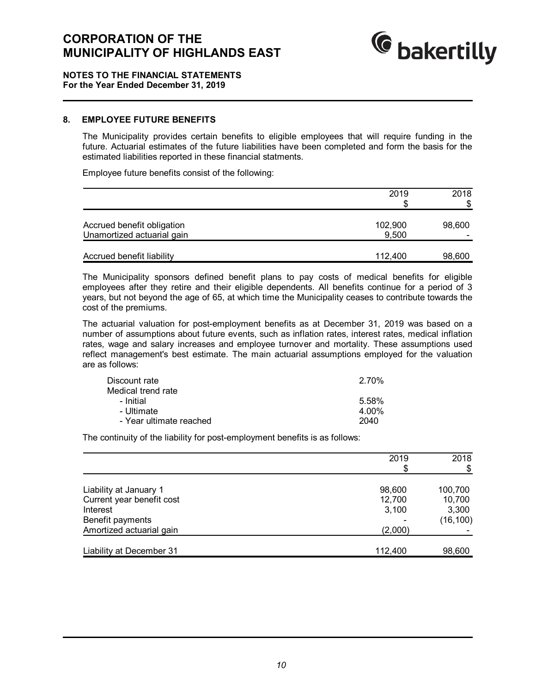

**NOTES TO THE FINANCIAL STATEMENTS For the Year Ended December 31, 2019**

### **8. EMPLOYEE FUTURE BENEFITS**

The Municipality provides certain benefits to eligible employees that will require funding in the future. Actuarial estimates of the future liabilities have been completed and form the basis for the estimated liabilities reported in these financial statments.

Employee future benefits consist of the following:

|                                                          | 2019             | 2018<br>\$ |
|----------------------------------------------------------|------------------|------------|
| Accrued benefit obligation<br>Unamortized actuarial gain | 102,900<br>9,500 | 98,600     |
| Accrued benefit liability                                | 112.400          | 98,600     |

The Municipality sponsors defined benefit plans to pay costs of medical benefits for eligible employees after they retire and their eligible dependents. All benefits continue for a period of 3 years, but not beyond the age of 65, at which time the Municipality ceases to contribute towards the cost of the premiums.

The actuarial valuation for post-employment benefits as at December 31, 2019 was based on a number of assumptions about future events, such as inflation rates, interest rates, medical inflation rates, wage and salary increases and employee turnover and mortality. These assumptions used reflect management's best estimate. The main actuarial assumptions employed for the valuation are as follows:

| Discount rate           | 2.70% |
|-------------------------|-------|
| Medical trend rate      |       |
| - Initial               | 5.58% |
| - Ultimate              | 4.00% |
| - Year ultimate reached | 2040  |

The continuity of the liability for post-employment benefits is as follows:

|                           | 2019    | 2018      |
|---------------------------|---------|-----------|
|                           |         |           |
| Liability at January 1    | 98,600  | 100,700   |
| Current year benefit cost | 12,700  | 10,700    |
| Interest                  | 3,100   | 3,300     |
| Benefit payments          |         | (16, 100) |
| Amortized actuarial gain  | (2,000) |           |
|                           |         |           |
| Liability at December 31  | 112,400 | 98,600    |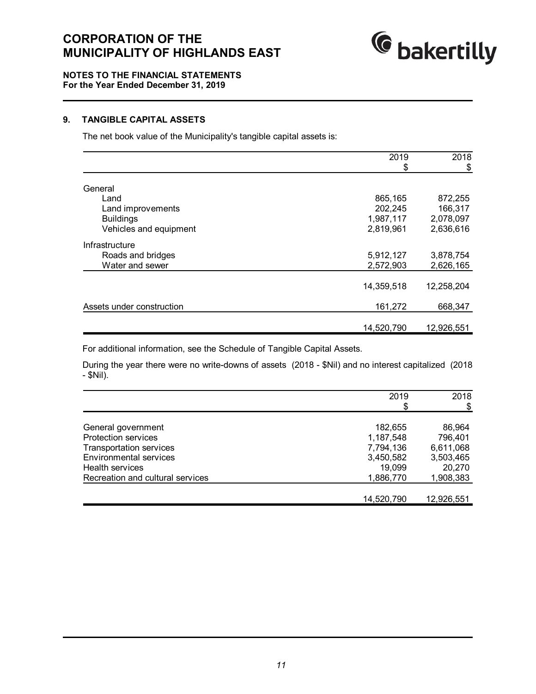

#### **NOTES TO THE FINANCIAL STATEMENTS For the Year Ended December 31, 2019**

#### **9. TANGIBLE CAPITAL ASSETS**

The net book value of the Municipality's tangible capital assets is:

|                           | 2019       | 2018       |
|---------------------------|------------|------------|
|                           | \$         | \$         |
| General                   |            |            |
| Land                      | 865,165    | 872,255    |
| Land improvements         | 202,245    | 166,317    |
| <b>Buildings</b>          | 1,987,117  | 2,078,097  |
| Vehicles and equipment    | 2,819,961  | 2,636,616  |
| Infrastructure            |            |            |
| Roads and bridges         | 5,912,127  | 3,878,754  |
| Water and sewer           | 2,572,903  | 2,626,165  |
|                           | 14,359,518 | 12,258,204 |
| Assets under construction | 161,272    | 668,347    |
|                           | 14,520,790 | 12,926,551 |

For additional information, see the Schedule of Tangible Capital Assets.

During the year there were no write-downs of assets (2018 - \$Nil) and no interest capitalized (2018 - \$Nil).

|                                  | 2019       | 2018       |
|----------------------------------|------------|------------|
|                                  | \$         | \$         |
|                                  |            |            |
| General government               | 182,655    | 86,964     |
| Protection services              | 1,187,548  | 796,401    |
| <b>Transportation services</b>   | 7,794,136  | 6,611,068  |
| <b>Environmental services</b>    | 3,450,582  | 3,503,465  |
| <b>Health services</b>           | 19,099     | 20,270     |
| Recreation and cultural services | 1,886,770  | 1,908,383  |
|                                  |            |            |
|                                  | 14,520,790 | 12,926,551 |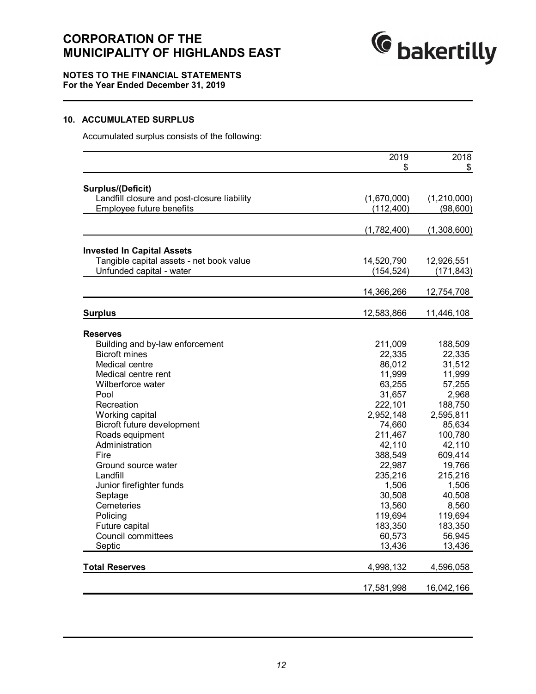

**NOTES TO THE FINANCIAL STATEMENTS For the Year Ended December 31, 2019**

#### **10. ACCUMULATED SURPLUS**

Accumulated surplus consists of the following:

|                                             | 2019        | 2018        |
|---------------------------------------------|-------------|-------------|
|                                             | \$          | \$          |
| <b>Surplus/(Deficit)</b>                    |             |             |
| Landfill closure and post-closure liability | (1,670,000) | (1,210,000) |
| Employee future benefits                    | (112, 400)  | (98, 600)   |
|                                             |             |             |
|                                             | (1,782,400) | (1,308,600) |
| <b>Invested In Capital Assets</b>           |             |             |
| Tangible capital assets - net book value    | 14,520,790  | 12,926,551  |
| Unfunded capital - water                    | (154, 524)  | (171, 843)  |
|                                             | 14,366,266  | 12,754,708  |
|                                             |             |             |
| <b>Surplus</b>                              | 12,583,866  | 11,446,108  |
| <b>Reserves</b>                             |             |             |
| Building and by-law enforcement             | 211,009     | 188,509     |
| <b>Bicroft mines</b>                        | 22,335      | 22,335      |
| Medical centre                              | 86,012      | 31,512      |
| Medical centre rent                         | 11,999      | 11,999      |
| Wilberforce water                           | 63,255      | 57,255      |
| Pool                                        | 31,657      | 2,968       |
| Recreation                                  | 222,101     | 188,750     |
| Working capital                             | 2,952,148   | 2,595,811   |
| Bicroft future development                  | 74,660      | 85,634      |
| Roads equipment                             | 211,467     | 100,780     |
| Administration                              | 42,110      | 42,110      |
| Fire                                        | 388,549     | 609,414     |
| Ground source water                         | 22,987      | 19,766      |
| Landfill                                    | 235,216     | 215,216     |
| Junior firefighter funds                    | 1,506       | 1,506       |
| Septage                                     | 30,508      | 40,508      |
| Cemeteries                                  | 13,560      | 8,560       |
| Policing                                    | 119,694     | 119,694     |
| Future capital                              | 183,350     | 183,350     |
| <b>Council committees</b>                   | 60,573      | 56,945      |
| Septic                                      | 13,436      | 13,436      |
|                                             |             |             |
| <b>Total Reserves</b>                       | 4,998,132   | 4,596,058   |
|                                             | 17,581,998  | 16,042,166  |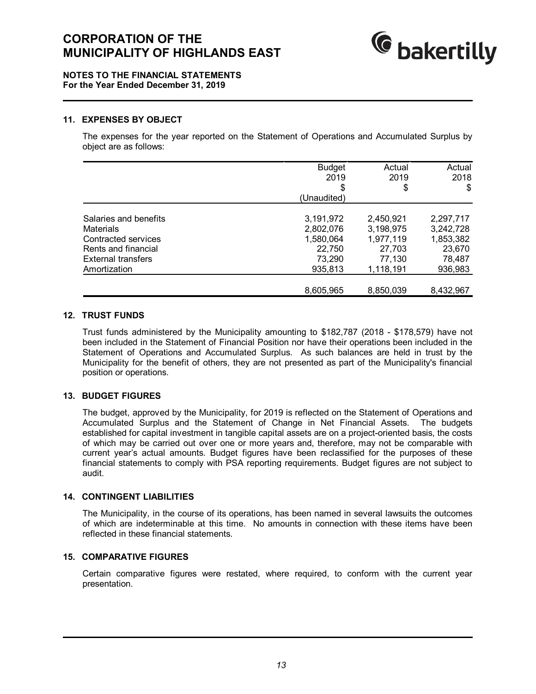

#### **NOTES TO THE FINANCIAL STATEMENTS For the Year Ended December 31, 2019**

#### **11. EXPENSES BY OBJECT**

The expenses for the year reported on the Statement of Operations and Accumulated Surplus by object are as follows:

|                           | <b>Budget</b> | Actual    | Actual    |
|---------------------------|---------------|-----------|-----------|
|                           | 2019          | 2019      | 2018      |
|                           | \$            | \$        | \$        |
|                           | (Unaudited)   |           |           |
|                           |               |           |           |
| Salaries and benefits     | 3,191,972     | 2,450,921 | 2,297,717 |
| <b>Materials</b>          | 2,802,076     | 3,198,975 | 3,242,728 |
| Contracted services       | 1,580,064     | 1,977,119 | 1,853,382 |
| Rents and financial       | 22,750        | 27,703    | 23,670    |
| <b>External transfers</b> | 73,290        | 77,130    | 78.487    |
| Amortization              | 935,813       | 1,118,191 | 936,983   |
|                           |               |           |           |
|                           | 8,605,965     | 8,850,039 | 8,432,967 |

#### **12. TRUST FUNDS**

Trust funds administered by the Municipality amounting to \$182,787 (2018 - \$178,579) have not been included in the Statement of Financial Position nor have their operations been included in the Statement of Operations and Accumulated Surplus. As such balances are held in trust by the Municipality for the benefit of others, they are not presented as part of the Municipality's financial position or operations.

### **13. BUDGET FIGURES**

The budget, approved by the Municipality, for 2019 is reflected on the Statement of Operations and Accumulated Surplus and the Statement of Change in Net Financial Assets. The budgets established for capital investment in tangible capital assets are on a project-oriented basis, the costs of which may be carried out over one or more years and, therefore, may not be comparable with current year's actual amounts. Budget figures have been reclassified for the purposes of these financial statements to comply with PSA reporting requirements. Budget figures are not subject to audit.

### **14. CONTINGENT LIABILITIES**

The Municipality, in the course of its operations, has been named in several lawsuits the outcomes of which are indeterminable at this time. No amounts in connection with these items have been reflected in these financial statements.

### **15. COMPARATIVE FIGURES**

Certain comparative figures were restated, where required, to conform with the current year presentation.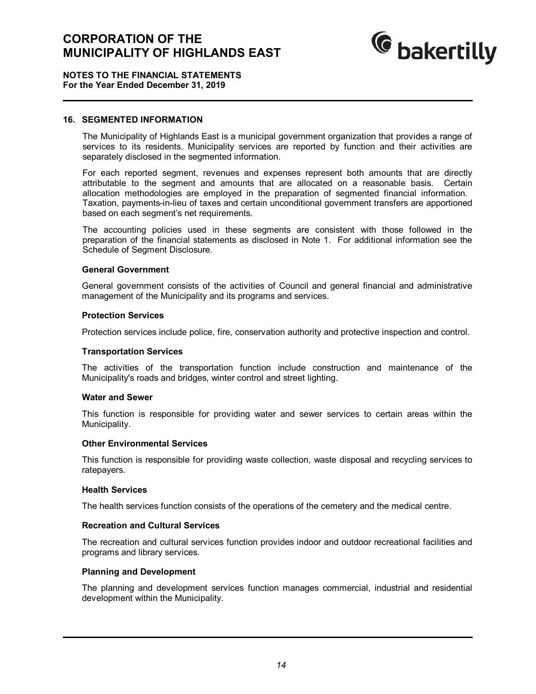

**NOTES TO THE FINANCIAL STATEMENTS For the Year Ended December 31, 2019**

#### **16. SEGMENTED INFORMATION**

The Municipality of Highlands East is a municipal government organization that provides a range of services to its residents. Municipality services are reported by function and their activities are separately disclosed in the segmented information.

For each reported segment, revenues and expenses represent both amounts that are directly attributable to the segment and amounts that are allocated on a reasonable basis. Certain allocation methodologies are employed in the preparation of segmented financial information. Taxation, payments-in-lieu of taxes and certain unconditional government transfers are apportioned based on each segment's net requirements.

The accounting policies used in these segments are consistent with those followed in the preparation of the financial statements as disclosed in Note 1. For additional information see the Schedule of Segment Disclosure.

### **General Government**

General government consists of the activities of Council and general financial and administrative management of the Municipality and its programs and services.

#### **Protection Services**

Protection services include police, fire, conservation authority and protective inspection and control.

#### **Transportation Services**

The activities of the transportation function include construction and maintenance of the Municipality's roads and bridges, winter control and street lighting.

#### **Water and Sewer**

This function is responsible for providing water and sewer services to certain areas within the Municipality.

#### **Other Environmental Services**

This function is responsible for providing waste collection, waste disposal and recycling services to ratepayers.

#### **Health Services**

The health services function consists of the operations of the cemetery and the medical centre.

#### **Recreation and Cultural Services**

The recreation and cultural services function provides indoor and outdoor recreational facilities and programs and library services.

#### **Planning and Development**

The planning and development services function manages commercial, industrial and residential development within the Municipality.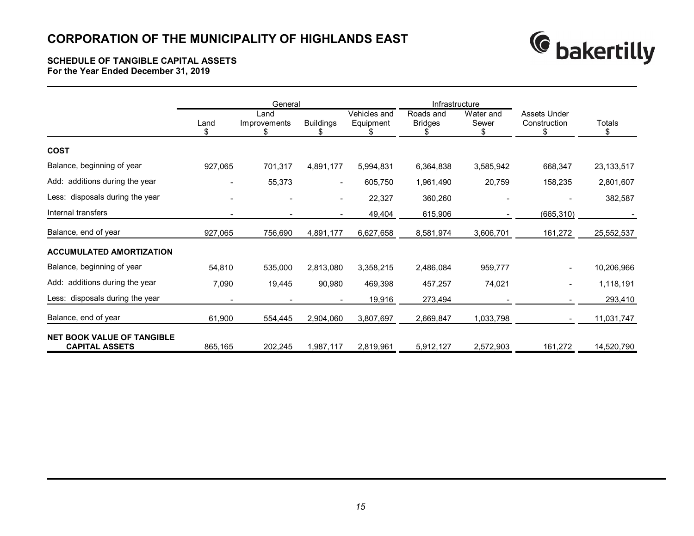

# **SCHEDULE OF TANGIBLE CAPITAL ASSETS**

**For the Year Ended December 31, 2019**

|                                                            |            | General                    |                          |                           | Infrastructure              |                          |                                    |              |
|------------------------------------------------------------|------------|----------------------------|--------------------------|---------------------------|-----------------------------|--------------------------|------------------------------------|--------------|
|                                                            | Land<br>\$ | Land<br>Improvements<br>\$ | <b>Buildings</b>         | Vehicles and<br>Equipment | Roads and<br><b>Bridges</b> | Water and<br>Sewer<br>\$ | Assets Under<br>Construction<br>\$ | Totals<br>\$ |
| <b>COST</b>                                                |            |                            |                          |                           |                             |                          |                                    |              |
| Balance, beginning of year                                 | 927,065    | 701,317                    | 4,891,177                | 5,994,831                 | 6,364,838                   | 3,585,942                | 668,347                            | 23, 133, 517 |
| Add: additions during the year                             |            | 55,373                     | $\overline{\phantom{a}}$ | 605,750                   | 1,961,490                   | 20,759                   | 158,235                            | 2,801,607    |
| Less: disposals during the year                            |            |                            | $\blacksquare$           | 22,327                    | 360,260                     |                          |                                    | 382,587      |
| Internal transfers                                         |            | -                          | $\blacksquare$           | 49,404                    | 615,906                     | $\overline{\phantom{a}}$ | (665, 310)                         |              |
| Balance, end of year                                       | 927,065    | 756,690                    | 4,891,177                | 6,627,658                 | 8,581,974                   | 3,606,701                | 161,272                            | 25,552,537   |
| <b>ACCUMULATED AMORTIZATION</b>                            |            |                            |                          |                           |                             |                          |                                    |              |
| Balance, beginning of year                                 | 54,810     | 535,000                    | 2,813,080                | 3,358,215                 | 2,486,084                   | 959,777                  |                                    | 10,206,966   |
| Add: additions during the year                             | 7,090      | 19,445                     | 90,980                   | 469,398                   | 457,257                     | 74,021                   | $\overline{\phantom{a}}$           | 1,118,191    |
| Less: disposals during the year                            |            |                            |                          | 19,916                    | 273,494                     |                          |                                    | 293,410      |
| Balance, end of year                                       | 61,900     | 554,445                    | 2,904,060                | 3,807,697                 | 2,669,847                   | 1,033,798                |                                    | 11,031,747   |
| <b>NET BOOK VALUE OF TANGIBLE</b><br><b>CAPITAL ASSETS</b> | 865,165    | 202,245                    | 1,987,117                | 2,819,961                 | 5,912,127                   | 2,572,903                | 161,272                            | 14,520,790   |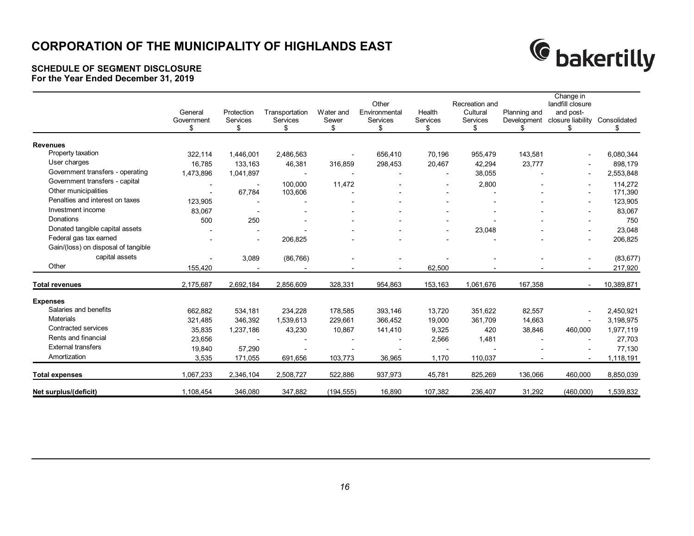

#### **SCHEDULE OF SEGMENT DISCLOSURE For the Year Ended December 31, 2019**

|                                                               | General<br>Government<br>\$ | Protection<br>Services<br>\$ | Transportation<br><b>Services</b><br>\$ | Water and<br>Sewer<br>\$ | Other<br>Environmental<br>Services<br>\$ | Health<br>Services<br>\$ | Recreation and<br>Cultural<br>Services<br>\$ | Planning and<br>Development<br>\$ | Change in<br>landfill closure<br>and post-<br>closure liability Consolidated<br>\$ | \$         |
|---------------------------------------------------------------|-----------------------------|------------------------------|-----------------------------------------|--------------------------|------------------------------------------|--------------------------|----------------------------------------------|-----------------------------------|------------------------------------------------------------------------------------|------------|
| <b>Revenues</b>                                               |                             |                              |                                         |                          |                                          |                          |                                              |                                   |                                                                                    |            |
| Property taxation                                             | 322,114                     | 1,446,001                    | 2,486,563                               | $\blacksquare$           | 656,410                                  | 70,196                   | 955,479                                      | 143,581                           | $\blacksquare$                                                                     | 6,080,344  |
| User charges                                                  | 16,785                      | 133,163                      | 46,381                                  | 316,859                  | 298,453                                  | 20,467                   | 42,294                                       | 23,777                            |                                                                                    | 898,179    |
| Government transfers - operating                              | 1,473,896                   | 1,041,897                    |                                         |                          |                                          |                          | 38,055                                       |                                   | $\overline{\phantom{a}}$                                                           | 2,553,848  |
| Government transfers - capital                                | $\overline{\phantom{a}}$    |                              | 100.000                                 | 11,472                   |                                          |                          | 2,800                                        |                                   | $\blacksquare$                                                                     | 114,272    |
| Other municipalities                                          |                             | 67,784                       | 103,606                                 |                          |                                          |                          |                                              |                                   | $\blacksquare$                                                                     | 171,390    |
| Penalties and interest on taxes                               | 123,905                     |                              |                                         |                          |                                          |                          |                                              |                                   | $\blacksquare$                                                                     | 123,905    |
| Investment income                                             | 83,067                      |                              |                                         |                          |                                          |                          |                                              |                                   | $\blacksquare$                                                                     | 83,067     |
| Donations                                                     | 500                         | 250                          |                                         |                          |                                          |                          |                                              |                                   | $\blacksquare$                                                                     | 750        |
| Donated tangible capital assets                               |                             |                              |                                         |                          |                                          |                          | 23,048                                       |                                   | $\overline{a}$                                                                     | 23,048     |
| Federal gas tax earned<br>Gain/(loss) on disposal of tangible |                             | $\overline{\phantom{0}}$     | 206,825                                 |                          |                                          |                          |                                              |                                   | $\overline{\phantom{a}}$                                                           | 206,825    |
| capital assets                                                |                             | 3,089                        | (86, 766)                               |                          |                                          |                          |                                              |                                   | $\overline{a}$                                                                     | (83, 677)  |
| Other                                                         | 155,420                     |                              |                                         |                          |                                          | 62,500                   |                                              |                                   |                                                                                    | 217,920    |
| <b>Total revenues</b>                                         | 2,175,687                   | 2,692,184                    | 2,856,609                               | 328,331                  | 954,863                                  | 153,163                  | 1,061,676                                    | 167,358                           | $\overline{\phantom{a}}$                                                           | 10,389,871 |
| <b>Expenses</b>                                               |                             |                              |                                         |                          |                                          |                          |                                              |                                   |                                                                                    |            |
| Salaries and benefits                                         | 662,882                     | 534,181                      | 234,228                                 | 178,585                  | 393,146                                  | 13,720                   | 351,622                                      | 82,557                            | $\blacksquare$                                                                     | 2,450,921  |
| <b>Materials</b>                                              | 321,485                     | 346,392                      | 1,539,613                               | 229,661                  | 366,452                                  | 19,000                   | 361,709                                      | 14,663                            | $\overline{\phantom{a}}$                                                           | 3,198,975  |
| Contracted services                                           | 35,835                      | 1,237,186                    | 43,230                                  | 10,867                   | 141,410                                  | 9,325                    | 420                                          | 38,846                            | 460,000                                                                            | 1,977,119  |
| Rents and financial                                           | 23,656                      |                              |                                         |                          |                                          | 2,566                    | 1,481                                        |                                   | $\overline{\phantom{a}}$                                                           | 27,703     |
| <b>External transfers</b>                                     | 19,840                      | 57,290                       |                                         |                          |                                          |                          |                                              |                                   |                                                                                    | 77,130     |
| Amortization                                                  | 3,535                       | 171,055                      | 691,656                                 | 103,773                  | 36,965                                   | 1,170                    | 110,037                                      |                                   |                                                                                    | 1,118,191  |
| <b>Total expenses</b>                                         | 1,067,233                   | 2,346,104                    | 2,508,727                               | 522,886                  | 937,973                                  | 45,781                   | 825,269                                      | 136,066                           | 460,000                                                                            | 8,850,039  |
| Net surplus/(deficit)                                         | 1,108,454                   | 346,080                      | 347,882                                 | (194, 555)               | 16,890                                   | 107,382                  | 236,407                                      | 31,292                            | (460,000)                                                                          | 1,539,832  |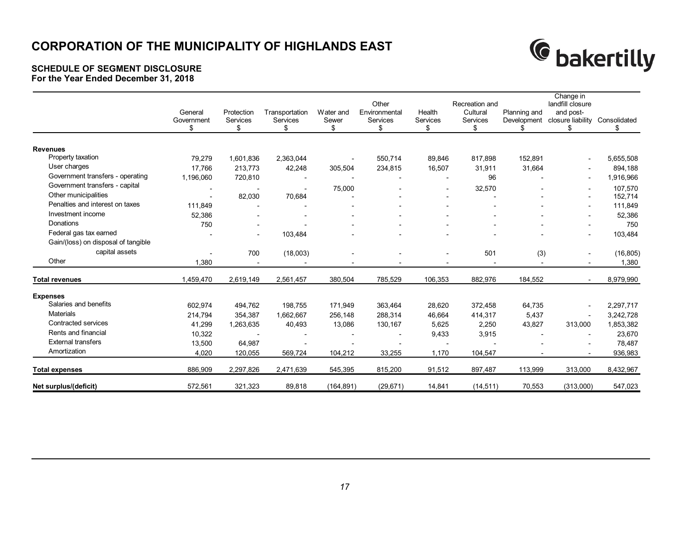

# **SCHEDULE OF SEGMENT DISCLOSURE**

**For the Year Ended December 31, 2018**

|                                     | General<br>Government<br>\$ | Protection<br>Services<br>\$ | Transportation<br><b>Services</b><br>\$ | Water and<br>Sewer<br>\$ | Other<br>Environmental<br>Services<br>S | Health<br>Services<br>\$ | Recreation and<br>Cultural<br>Services<br>\$ | Planning and<br>\$. | Change in<br>landfill closure<br>and post-<br>Development closure liability Consolidated<br>\$. | \$        |
|-------------------------------------|-----------------------------|------------------------------|-----------------------------------------|--------------------------|-----------------------------------------|--------------------------|----------------------------------------------|---------------------|-------------------------------------------------------------------------------------------------|-----------|
|                                     |                             |                              |                                         |                          |                                         |                          |                                              |                     |                                                                                                 |           |
| <b>Revenues</b>                     |                             |                              |                                         |                          |                                         |                          |                                              |                     |                                                                                                 |           |
| Property taxation                   | 79,279                      | 1,601,836                    | 2,363,044                               | $\blacksquare$           | 550,714                                 | 89.846                   | 817.898                                      | 152,891             | $\overline{\phantom{a}}$                                                                        | 5,655,508 |
| User charges                        | 17,766                      | 213,773                      | 42,248                                  | 305,504                  | 234,815                                 | 16,507                   | 31,911                                       | 31,664              |                                                                                                 | 894,188   |
| Government transfers - operating    | 1,196,060                   | 720,810                      |                                         |                          |                                         |                          | 96                                           |                     | $\overline{\phantom{a}}$                                                                        | 1,916,966 |
| Government transfers - capital      |                             |                              |                                         | 75,000                   |                                         |                          | 32,570                                       |                     | $\blacksquare$                                                                                  | 107,570   |
| Other municipalities                |                             | 82,030                       | 70,684                                  |                          |                                         |                          |                                              |                     | $\blacksquare$                                                                                  | 152,714   |
| Penalties and interest on taxes     | 111,849                     |                              |                                         |                          |                                         |                          |                                              |                     | $\overline{\phantom{a}}$                                                                        | 111,849   |
| Investment income                   | 52,386                      |                              |                                         |                          |                                         |                          |                                              |                     | $\blacksquare$                                                                                  | 52,386    |
| Donations                           | 750                         |                              |                                         |                          |                                         |                          |                                              |                     | $\overline{a}$                                                                                  | 750       |
| Federal gas tax earned              |                             |                              | 103,484                                 |                          |                                         |                          |                                              |                     | $\overline{\phantom{a}}$                                                                        | 103,484   |
| Gain/(loss) on disposal of tangible |                             |                              |                                         |                          |                                         |                          |                                              |                     |                                                                                                 |           |
| capital assets                      |                             | 700                          | (18,003)                                |                          |                                         |                          | 501                                          | (3)                 | $\overline{a}$                                                                                  | (16, 805) |
| Other                               | 1.380                       |                              |                                         |                          |                                         |                          |                                              | $\blacksquare$      |                                                                                                 | 1,380     |
| <b>Total revenues</b>               | 1,459,470                   | 2,619,149                    | 2,561,457                               | 380,504                  | 785,529                                 | 106,353                  | 882,976                                      | 184,552             | $\blacksquare$                                                                                  | 8,979,990 |
| <b>Expenses</b>                     |                             |                              |                                         |                          |                                         |                          |                                              |                     |                                                                                                 |           |
| Salaries and benefits               | 602,974                     | 494,762                      | 198,755                                 | 171,949                  | 363,464                                 | 28,620                   | 372,458                                      | 64,735              | $\blacksquare$                                                                                  | 2,297,717 |
| <b>Materials</b>                    | 214,794                     | 354,387                      | 1,662,667                               | 256,148                  | 288,314                                 | 46,664                   | 414,317                                      | 5,437               | $\blacksquare$                                                                                  | 3,242,728 |
| Contracted services                 | 41,299                      | 1,263,635                    | 40,493                                  | 13,086                   | 130,167                                 | 5,625                    | 2,250                                        | 43,827              | 313,000                                                                                         | 1,853,382 |
| Rents and financial                 | 10,322                      |                              |                                         |                          |                                         | 9,433                    | 3,915                                        |                     | $\blacksquare$                                                                                  | 23,670    |
| <b>External transfers</b>           | 13,500                      | 64,987                       |                                         |                          |                                         |                          |                                              |                     | $\blacksquare$                                                                                  | 78,487    |
| Amortization                        | 4.020                       | 120,055                      | 569,724                                 | 104,212                  | 33,255                                  | 1.170                    | 104,547                                      |                     |                                                                                                 | 936,983   |
| <b>Total expenses</b>               | 886,909                     | 2,297,826                    | 2,471,639                               | 545,395                  | 815,200                                 | 91,512                   | 897,487                                      | 113,999             | 313,000                                                                                         | 8,432,967 |
| Net surplus/(deficit)               | 572,561                     | 321,323                      | 89,818                                  | (164, 891)               | (29, 671)                               | 14,841                   | (14, 511)                                    | 70,553              | (313,000)                                                                                       | 547,023   |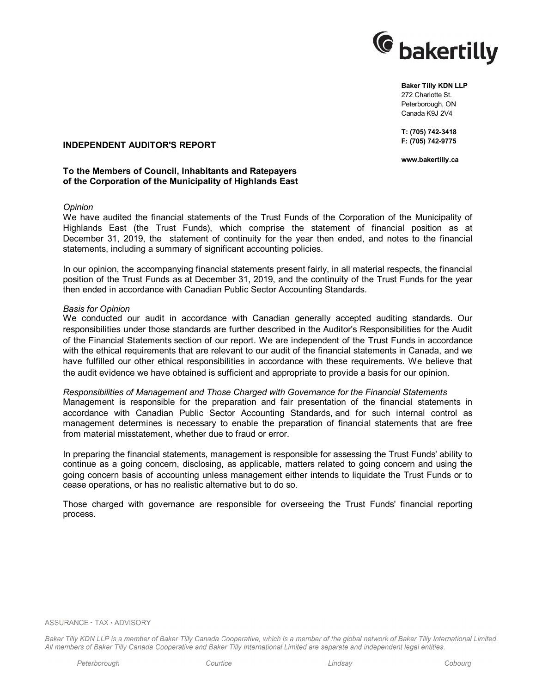

## **Baker Tilly KDN LLP**

272 Charlotte St. Peterborough, ON Canada K9J 2V4

**T: (705) 742-3418 F: (705) 742-9775**

**www.bakertilly.ca**

### **INDEPENDENT AUDITOR'S REPORT**

#### **To the Members of Council, Inhabitants and Ratepayers of the Corporation of the Municipality of Highlands East**

#### *Opinion*

We have audited the financial statements of the Trust Funds of the Corporation of the Municipality of Highlands East (the Trust Funds), which comprise the statement of financial position as at December 31, 2019, the statement of continuity for the year then ended, and notes to the financial statements, including a summary of significant accounting policies.

In our opinion, the accompanying financial statements present fairly, in all material respects, the financial position of the Trust Funds as at December 31, 2019, and the continuity of the Trust Funds for the year then ended in accordance with Canadian Public Sector Accounting Standards.

#### *Basis for Opinion*

We conducted our audit in accordance with Canadian generally accepted auditing standards. Our responsibilities under those standards are further described in the Auditor's Responsibilities for the Audit of the Financial Statements section of our report. We are independent of the Trust Funds in accordance with the ethical requirements that are relevant to our audit of the financial statements in Canada, and we have fulfilled our other ethical responsibilities in accordance with these requirements. We believe that the audit evidence we have obtained is sufficient and appropriate to provide a basis for our opinion.

### *Responsibilities of Management and Those Charged with Governance for the Financial Statements*

Management is responsible for the preparation and fair presentation of the financial statements in accordance with Canadian Public Sector Accounting Standards, and for such internal control as management determines is necessary to enable the preparation of financial statements that are free from material misstatement, whether due to fraud or error.

In preparing the financial statements, management is responsible for assessing the Trust Funds' ability to continue as a going concern, disclosing, as applicable, matters related to going concern and using the going concern basis of accounting unless management either intends to liquidate the Trust Funds or to cease operations, or has no realistic alternative but to do so.

Those charged with governance are responsible for overseeing the Trust Funds' financial reporting process.

#### ASSURANCE · TAX · ADVISORY

Baker Tilly KDN LLP is a member of Baker Tilly Canada Cooperative, which is a member of the global network of Baker Tilly International Limited. All members of Baker Tilly Canada Cooperative and Baker Tilly International Limited are separate and independent legal entities.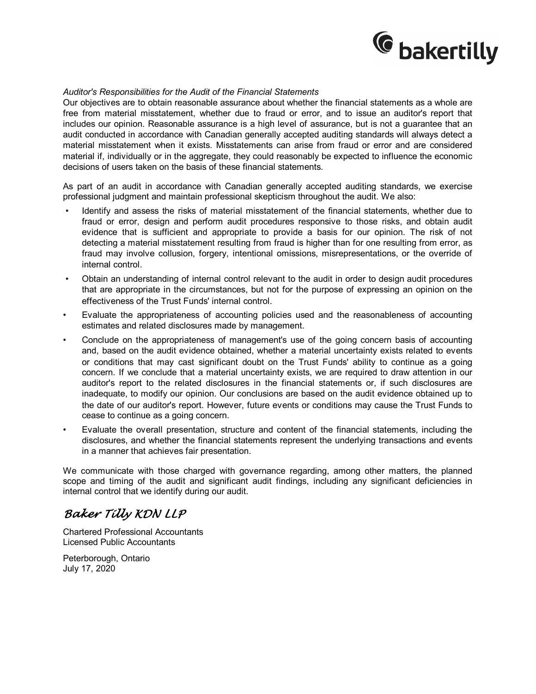

#### *Auditor's Responsibilities for the Audit of the Financial Statements*

Our objectives are to obtain reasonable assurance about whether the financial statements as a whole are free from material misstatement, whether due to fraud or error, and to issue an auditor's report that includes our opinion. Reasonable assurance is a high level of assurance, but is not a guarantee that an audit conducted in accordance with Canadian generally accepted auditing standards will always detect a material misstatement when it exists. Misstatements can arise from fraud or error and are considered material if, individually or in the aggregate, they could reasonably be expected to influence the economic decisions of users taken on the basis of these financial statements.

As part of an audit in accordance with Canadian generally accepted auditing standards, we exercise professional judgment and maintain professional skepticism throughout the audit. We also:

- Identify and assess the risks of material misstatement of the financial statements, whether due to fraud or error, design and perform audit procedures responsive to those risks, and obtain audit evidence that is sufficient and appropriate to provide a basis for our opinion. The risk of not detecting a material misstatement resulting from fraud is higher than for one resulting from error, as fraud may involve collusion, forgery, intentional omissions, misrepresentations, or the override of internal control.
- Obtain an understanding of internal control relevant to the audit in order to design audit procedures that are appropriate in the circumstances, but not for the purpose of expressing an opinion on the effectiveness of the Trust Funds' internal control.
- Evaluate the appropriateness of accounting policies used and the reasonableness of accounting estimates and related disclosures made by management.
- Conclude on the appropriateness of management's use of the going concern basis of accounting and, based on the audit evidence obtained, whether a material uncertainty exists related to events or conditions that may cast significant doubt on the Trust Funds' ability to continue as a going concern. If we conclude that a material uncertainty exists, we are required to draw attention in our auditor's report to the related disclosures in the financial statements or, if such disclosures are inadequate, to modify our opinion. Our conclusions are based on the audit evidence obtained up to the date of our auditor's report. However, future events or conditions may cause the Trust Funds to cease to continue as a going concern.
- Evaluate the overall presentation, structure and content of the financial statements, including the disclosures, and whether the financial statements represent the underlying transactions and events in a manner that achieves fair presentation.

We communicate with those charged with governance regarding, among other matters, the planned scope and timing of the audit and significant audit findings, including any significant deficiencies in internal control that we identify during our audit.

# *Baker Tilly KDN LLP*

Chartered Professional Accountants Licensed Public Accountants

Peterborough, Ontario July 17, 2020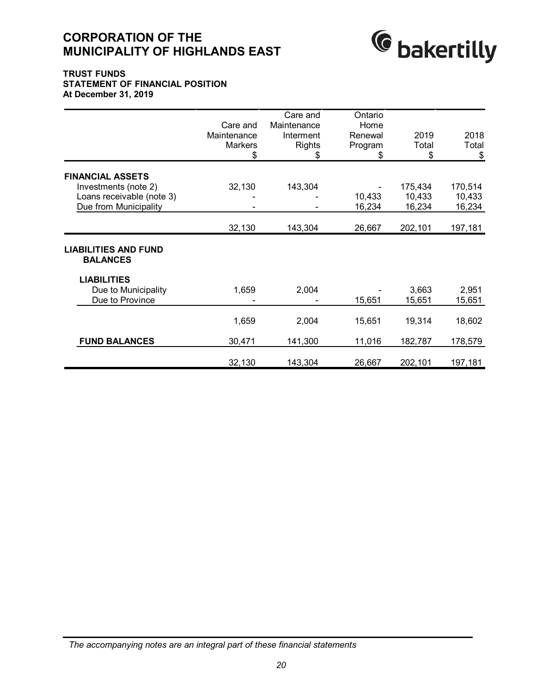

### **TRUST FUNDS STATEMENT OF FINANCIAL POSITION At December 31, 2019**

|                                                |                | Care and      | Ontario |         |               |
|------------------------------------------------|----------------|---------------|---------|---------|---------------|
|                                                | Care and       | Maintenance   | Home    |         |               |
|                                                | Maintenance    | Interment     | Renewal | 2019    | 2018          |
|                                                | <b>Markers</b> | <b>Rights</b> | Program | Total   | Total         |
|                                                | \$             | \$            | \$      | \$      | $\frac{1}{2}$ |
| <b>FINANCIAL ASSETS</b>                        |                |               |         |         |               |
| Investments (note 2)                           | 32,130         | 143,304       |         | 175,434 | 170,514       |
| Loans receivable (note 3)                      |                |               | 10,433  | 10,433  | 10,433        |
| Due from Municipality                          |                |               | 16,234  | 16,234  | 16,234        |
|                                                |                |               |         |         |               |
|                                                | 32,130         | 143,304       | 26,667  | 202,101 | 197,181       |
| <b>LIABILITIES AND FUND</b><br><b>BALANCES</b> |                |               |         |         |               |
| <b>LIABILITIES</b>                             |                |               |         |         |               |
| Due to Municipality                            | 1,659          | 2,004         |         | 3,663   | 2,951         |
| Due to Province                                |                |               | 15,651  | 15,651  | 15,651        |
|                                                |                |               |         |         |               |
|                                                | 1,659          | 2,004         | 15,651  | 19,314  | 18,602        |
|                                                |                |               |         |         |               |
| <b>FUND BALANCES</b>                           | 30,471         | 141,300       | 11,016  | 182,787 | 178,579       |
|                                                | 32,130         | 143,304       | 26,667  | 202,101 | 197,181       |

*The accompanying notes are an integral part of these financial statements*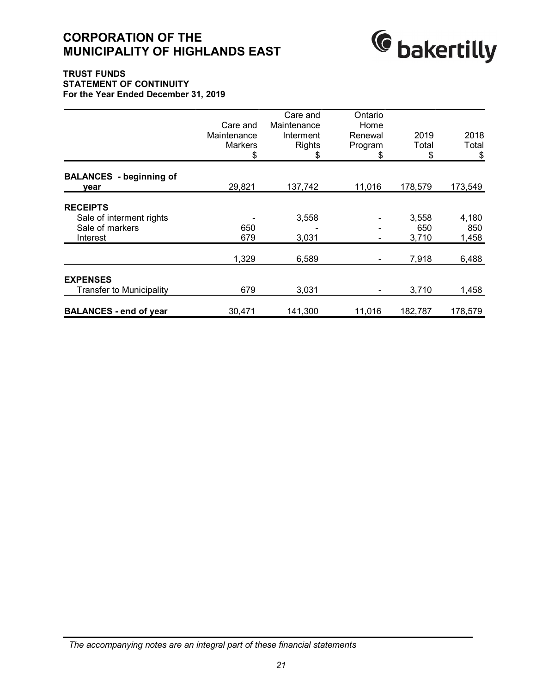

### **TRUST FUNDS STATEMENT OF CONTINUITY For the Year Ended December 31, 2019**

|                                        | Care and<br>Maintenance<br><b>Markers</b> | Care and<br>Maintenance<br>Interment<br><b>Rights</b> | Ontario<br>Home<br>Renewal<br>Program | 2019<br>Total | 2018<br>Total |
|----------------------------------------|-------------------------------------------|-------------------------------------------------------|---------------------------------------|---------------|---------------|
|                                        | \$                                        | \$                                                    | \$                                    | \$            | \$            |
| <b>BALANCES</b> - beginning of<br>year | 29,821                                    | 137,742                                               | 11,016                                | 178,579       | 173,549       |
|                                        |                                           |                                                       |                                       |               |               |
| <b>RECEIPTS</b>                        |                                           |                                                       |                                       |               |               |
| Sale of interment rights               |                                           | 3,558                                                 |                                       | 3,558         | 4,180         |
| Sale of markers                        | 650                                       |                                                       |                                       | 650           | 850           |
| Interest                               | 679                                       | 3,031                                                 |                                       | 3,710         | 1,458         |
|                                        | 1,329                                     | 6,589                                                 |                                       | 7,918         | 6,488         |
| <b>EXPENSES</b>                        |                                           |                                                       |                                       |               |               |
| <b>Transfer to Municipality</b>        | 679                                       | 3,031                                                 |                                       | 3,710         | 1,458         |
| <b>BALANCES - end of year</b>          | 30,471                                    | 141,300                                               | 11,016                                | 182,787       | 178,579       |

*The accompanying notes are an integral part of these financial statements*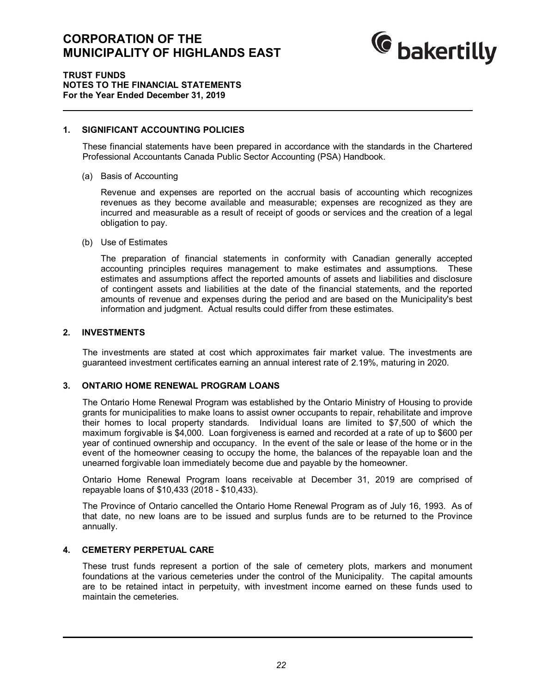

### **TRUST FUNDS NOTES TO THE FINANCIAL STATEMENTS For the Year Ended December 31, 2019**

### **1. SIGNIFICANT ACCOUNTING POLICIES**

These financial statements have been prepared in accordance with the standards in the Chartered Professional Accountants Canada Public Sector Accounting (PSA) Handbook.

#### (a) Basis of Accounting

Revenue and expenses are reported on the accrual basis of accounting which recognizes revenues as they become available and measurable; expenses are recognized as they are incurred and measurable as a result of receipt of goods or services and the creation of a legal obligation to pay.

#### (b) Use of Estimates

The preparation of financial statements in conformity with Canadian generally accepted accounting principles requires management to make estimates and assumptions. These estimates and assumptions affect the reported amounts of assets and liabilities and disclosure of contingent assets and liabilities at the date of the financial statements, and the reported amounts of revenue and expenses during the period and are based on the Municipality's best information and judgment. Actual results could differ from these estimates.

#### **2. INVESTMENTS**

The investments are stated at cost which approximates fair market value. The investments are guaranteed investment certificates earning an annual interest rate of 2.19%, maturing in 2020.

#### **3. ONTARIO HOME RENEWAL PROGRAM LOANS**

The Ontario Home Renewal Program was established by the Ontario Ministry of Housing to provide grants for municipalities to make loans to assist owner occupants to repair, rehabilitate and improve their homes to local property standards. Individual loans are limited to \$7,500 of which the maximum forgivable is \$4,000. Loan forgiveness is earned and recorded at a rate of up to \$600 per year of continued ownership and occupancy. In the event of the sale or lease of the home or in the event of the homeowner ceasing to occupy the home, the balances of the repayable loan and the unearned forgivable loan immediately become due and payable by the homeowner.

Ontario Home Renewal Program loans receivable at December 31, 2019 are comprised of repayable loans of \$10,433 (2018 - \$10,433).

The Province of Ontario cancelled the Ontario Home Renewal Program as of July 16, 1993. As of that date, no new loans are to be issued and surplus funds are to be returned to the Province annually.

### **4. CEMETERY PERPETUAL CARE**

These trust funds represent a portion of the sale of cemetery plots, markers and monument foundations at the various cemeteries under the control of the Municipality. The capital amounts are to be retained intact in perpetuity, with investment income earned on these funds used to maintain the cemeteries.